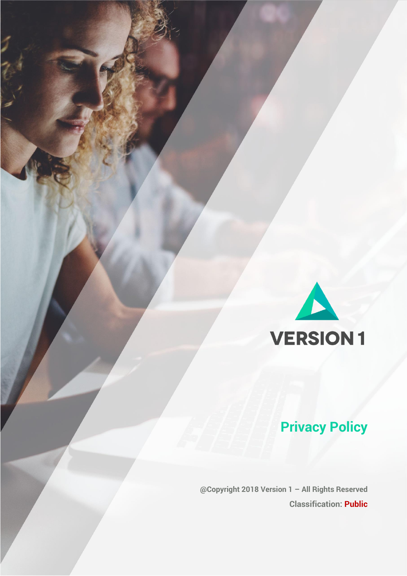

# **Privacy Policy**

 **@Copyright 2018 Version 1 – All Rights Reserved Classification: Public**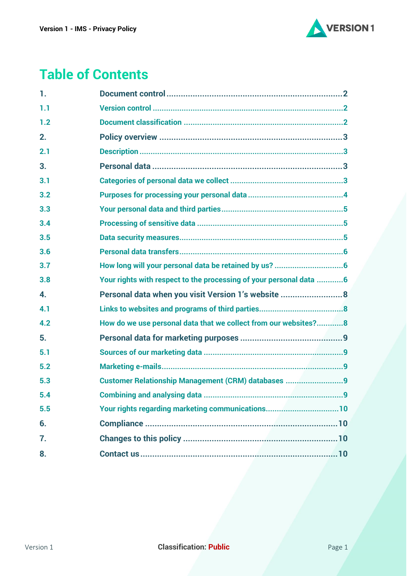

# **Table of Contents**

| 1.  |                                                                    |
|-----|--------------------------------------------------------------------|
| 1.1 |                                                                    |
| 1.2 |                                                                    |
| 2.  |                                                                    |
| 2.1 |                                                                    |
| 3.  |                                                                    |
| 3.1 |                                                                    |
| 3.2 |                                                                    |
| 3.3 |                                                                    |
| 3.4 |                                                                    |
| 3.5 |                                                                    |
| 3.6 |                                                                    |
| 3.7 |                                                                    |
| 3.8 | Your rights with respect to the processing of your personal data 6 |
| 4.  | Personal data when you visit Version 1's website 8                 |
| 4.1 |                                                                    |
| 4.2 | How do we use personal data that we collect from our websites?8    |
| 5.  |                                                                    |
| 5.1 |                                                                    |
| 5.2 |                                                                    |
| 5.3 | Customer Relationship Management (CRM) databases 9                 |
| 5.4 |                                                                    |
| 5.5 | Your rights regarding marketing communications10                   |
| 6.  |                                                                    |
| 7.  |                                                                    |
| 8.  |                                                                    |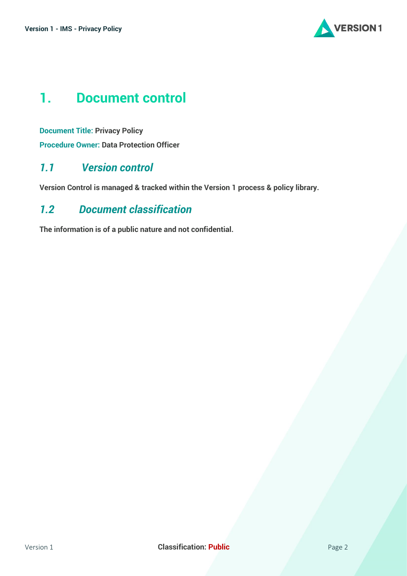

# <span id="page-2-0"></span>**1. Document control**

**Document Title: Privacy Policy Procedure Owner: Data Protection Officer**

## <span id="page-2-1"></span>*1.1 Version control*

**Version Control is managed & tracked within the Version 1 process & policy library.**

## <span id="page-2-2"></span>*1.2 Document classification*

**The information is of a public nature and not confidential.**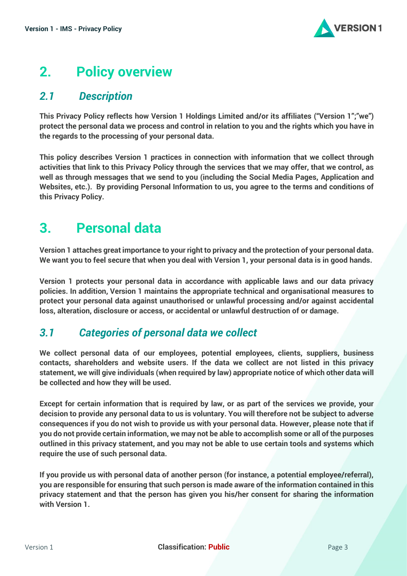

# <span id="page-3-0"></span>**2. Policy overview**

## <span id="page-3-1"></span>*2.1 Description*

**This Privacy Policy reflects how Version 1 Holdings Limited and/or its affiliates ("Version 1";"we") protect the personal data we process and control in relation to you and the rights which you have in the regards to the processing of your personal data.**

**This policy describes Version 1 practices in connection with information that we collect through activities that link to this Privacy Policy through the services that we may offer, that we control, as well as through messages that we send to you (including the Social Media Pages, Application and Websites, etc.). By providing Personal Information to us, you agree to the terms and conditions of this Privacy Policy.**

# <span id="page-3-2"></span>**3. Personal data**

**Version 1 attaches great importance to your right to privacy and the protection of your personal data. We want you to feel secure that when you deal with Version 1, your personal data is in good hands.**

**Version 1 protects your personal data in accordance with applicable laws and our data privacy policies. In addition, Version 1 maintains the appropriate technical and organisational measures to protect your personal data against unauthorised or unlawful processing and/or against accidental loss, alteration, disclosure or access, or accidental or unlawful destruction of or damage.**

## <span id="page-3-3"></span>*3.1 Categories of personal data we collect*

**We collect personal data of our employees, potential employees, clients, suppliers, business contacts, shareholders and website users. If the data we collect are not listed in this privacy statement, we will give individuals (when required by law) appropriate notice of which other data will be collected and how they will be used.**

**Except for certain information that is required by law, or as part of the services we provide, your decision to provide any personal data to us is voluntary. You will therefore not be subject to adverse consequences if you do not wish to provide us with your personal data. However, please note that if you do not provide certain information, we may not be able to accomplish some or all of the purposes outlined in this privacy statement, and you may not be able to use certain tools and systems which require the use of such personal data.**

**If you provide us with personal data of another person (for instance, a potential employee/referral), you are responsible for ensuring that such person is made aware of the information contained in this privacy statement and that the person has given you his/her consent for sharing the information with Version 1.**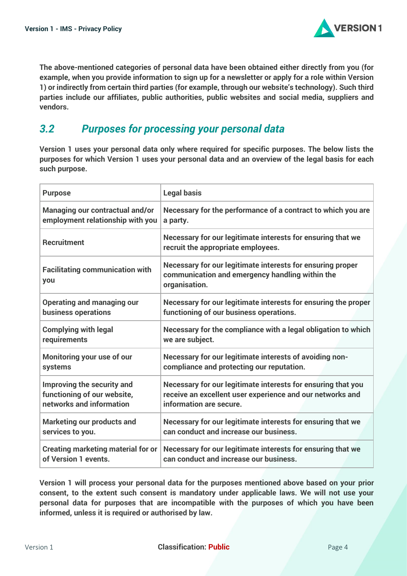

**The above-mentioned categories of personal data have been obtained either directly from you (for example, when you provide information to sign up for a newsletter or apply for a role within Version 1) or indirectly from certain third parties (for example, through our website's technology). Such third parties include our affiliates, public authorities, public websites and social media, suppliers and vendors.**

#### <span id="page-4-0"></span>*3.2 Purposes for processing your personal data*

**Version 1 uses your personal data only where required for specific purposes. The below lists the purposes for which Version 1 uses your personal data and an overview of the legal basis for each such purpose.**

| <b>Purpose</b>                                | <b>Legal basis</b>                                                                                                             |
|-----------------------------------------------|--------------------------------------------------------------------------------------------------------------------------------|
| <b>Managing our contractual and/or</b>        | Necessary for the performance of a contract to which you are                                                                   |
| employment relationship with you              | a party.                                                                                                                       |
| <b>Recruitment</b>                            | Necessary for our legitimate interests for ensuring that we<br>recruit the appropriate employees.                              |
| <b>Facilitating communication with</b><br>you | Necessary for our legitimate interests for ensuring proper<br>communication and emergency handling within the<br>organisation. |
| <b>Operating and managing our</b>             | Necessary for our legitimate interests for ensuring the proper                                                                 |
| business operations                           | functioning of our business operations.                                                                                        |
| <b>Complying with legal</b>                   | Necessary for the compliance with a legal obligation to which                                                                  |
| requirements                                  | we are subject.                                                                                                                |
| Monitoring your use of our                    | Necessary for our legitimate interests of avoiding non-                                                                        |
| systems                                       | compliance and protecting our reputation.                                                                                      |
| Improving the security and                    | Necessary for our legitimate interests for ensuring that you                                                                   |
| functioning of our website,                   | receive an excellent user experience and our networks and                                                                      |
| networks and information                      | information are secure.                                                                                                        |
| <b>Marketing our products and</b>             | Necessary for our legitimate interests for ensuring that we                                                                    |
| services to you.                              | can conduct and increase our business.                                                                                         |
| <b>Creating marketing material for or</b>     | Necessary for our legitimate interests for ensuring that we                                                                    |
| of Version 1 events.                          | can conduct and increase our business.                                                                                         |

**Version 1 will process your personal data for the purposes mentioned above based on your prior consent, to the extent such consent is mandatory under applicable laws. We will not use your personal data for purposes that are incompatible with the purposes of which you have been informed, unless it is required or authorised by law.**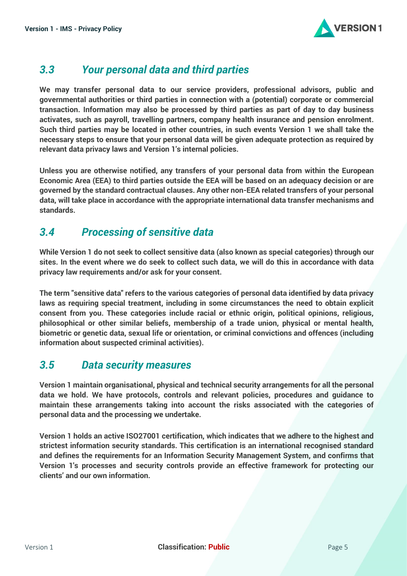

## <span id="page-5-0"></span>*3.3 Your personal data and third parties*

**We may transfer personal data to our service providers, professional advisors, public and governmental authorities or third parties in connection with a (potential) corporate or commercial transaction. Information may also be processed by third parties as part of day to day business activates, such as payroll, travelling partners, company health insurance and pension enrolment. Such third parties may be located in other countries, in such events Version 1 we shall take the necessary steps to ensure that your personal data will be given adequate protection as required by relevant data privacy laws and Version 1's internal policies.**

**Unless you are otherwise notified, any transfers of your personal data from within the European Economic Area (EEA) to third parties outside the EEA will be based on an adequacy decision or are governed by the standard contractual clauses. Any other non-EEA related transfers of your personal data, will take place in accordance with the appropriate international data transfer mechanisms and standards.**

## <span id="page-5-1"></span>*3.4 Processing of sensitive data*

**While Version 1 do not seek to collect sensitive data (also known as special categories) through our sites. In the event where we do seek to collect such data, we will do this in accordance with data privacy law requirements and/or ask for your consent.**

**The term "sensitive data" refers to the various categories of personal data identified by data privacy laws as requiring special treatment, including in some circumstances the need to obtain explicit consent from you. These categories include racial or ethnic origin, political opinions, religious, philosophical or other similar beliefs, membership of a trade union, physical or mental health, biometric or genetic data, sexual life or orientation, or criminal convictions and offences (including information about suspected criminal activities).**

## <span id="page-5-2"></span>*3.5 Data security measures*

**Version 1 maintain organisational, physical and technical security arrangements for all the personal data we hold. We have protocols, controls and relevant policies, procedures and guidance to maintain these arrangements taking into account the risks associated with the categories of personal data and the processing we undertake.**

**Version 1 holds an active ISO27001 certification, which indicates that we adhere to the highest and strictest information security standards. This certification is an international recognised standard and defines the requirements for an Information Security Management System, and confirms that Version 1's processes and security controls provide an effective framework for protecting our clients' and our own information.**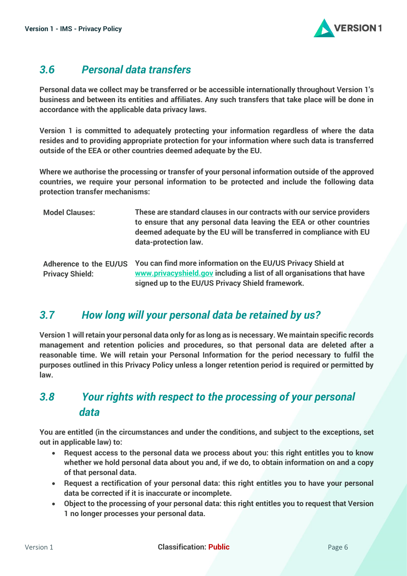

## <span id="page-6-0"></span>*3.6 Personal data transfers*

**Personal data we collect may be transferred or be accessible internationally throughout Version 1's business and between its entities and affiliates. Any such transfers that take place will be done in accordance with the applicable data privacy laws.**

**Version 1 is committed to adequately protecting your information regardless of where the data resides and to providing appropriate protection for your information where such data is transferred outside of the EEA or other countries deemed adequate by the EU.** 

**Where we authorise the processing or transfer of your personal information outside of the approved countries, we require your personal information to be protected and include the following data protection transfer mechanisms:** 

| <b>Model Clauses:</b>                            | These are standard clauses in our contracts with our service providers<br>to ensure that any personal data leaving the EEA or other countries<br>deemed adequate by the EU will be transferred in compliance with EU<br>data-protection law. |
|--------------------------------------------------|----------------------------------------------------------------------------------------------------------------------------------------------------------------------------------------------------------------------------------------------|
| Adherence to the EU/US<br><b>Privacy Shield:</b> | You can find more information on the EU/US Privacy Shield at<br>www.privacyshield.gov including a list of all organisations that have<br>signed up to the EU/US Privacy Shield framework.                                                    |

## <span id="page-6-1"></span>*3.7 How long will your personal data be retained by us?*

**Version 1 will retain your personal data only for as long as is necessary. We maintain specific records management and retention policies and procedures, so that personal data are deleted after a reasonable time. We will retain your Personal Information for the period necessary to fulfil the purposes outlined in this Privacy Policy unless a longer retention period is required or permitted by law.** 

## <span id="page-6-2"></span>*3.8 Your rights with respect to the processing of your personal data*

**You are entitled (in the circumstances and under the conditions, and subject to the exceptions, set out in applicable law) to:**

- **Request access to the personal data we process about you: this right entitles you to know whether we hold personal data about you and, if we do, to obtain information on and a copy of that personal data.**
- **Request a rectification of your personal data: this right entitles you to have your personal data be corrected if it is inaccurate or incomplete.**
- **Object to the processing of your personal data: this right entitles you to request that Version 1 no longer processes your personal data.**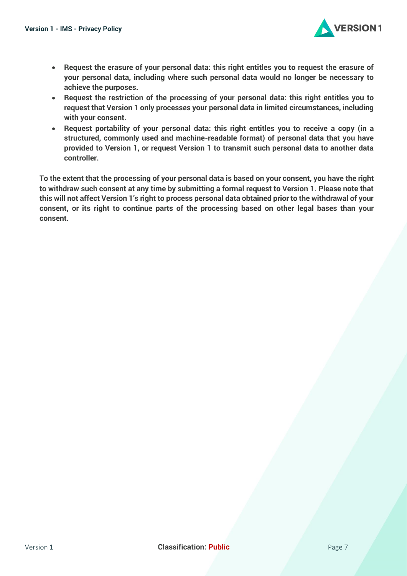

- **Request the erasure of your personal data: this right entitles you to request the erasure of your personal data, including where such personal data would no longer be necessary to achieve the purposes.**
- **Request the restriction of the processing of your personal data: this right entitles you to request that Version 1 only processes your personal data in limited circumstances, including with your consent.**
- **Request portability of your personal data: this right entitles you to receive a copy (in a structured, commonly used and machine-readable format) of personal data that you have provided to Version 1, or request Version 1 to transmit such personal data to another data controller.**

**To the extent that the processing of your personal data is based on your consent, you have the right to withdraw such consent at any time by submitting a formal request to Version 1. Please note that this will not affect Version 1's right to process personal data obtained prior to the withdrawal of your consent, or its right to continue parts of the processing based on other legal bases than your consent.**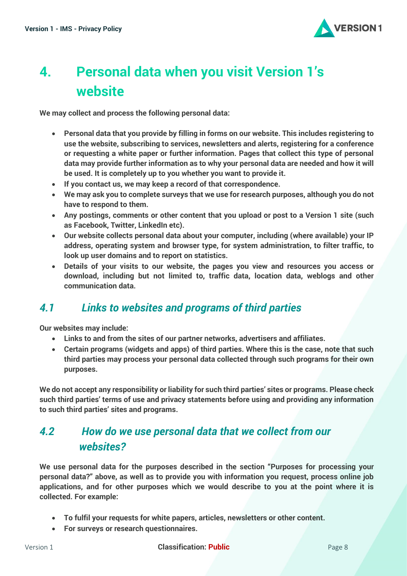

# <span id="page-8-0"></span>**4. Personal data when you visit Version 1's website**

**We may collect and process the following personal data:**

- **Personal data that you provide by filling in forms on our website. This includes registering to use the website, subscribing to services, newsletters and alerts, registering for a conference or requesting a white paper or further information. Pages that collect this type of personal data may provide further information as to why your personal data are needed and how it will be used. It is completely up to you whether you want to provide it.**
- **If you contact us, we may keep a record of that correspondence.**
- **We may ask you to complete surveys that we use for research purposes, although you do not have to respond to them.**
- **Any postings, comments or other content that you upload or post to a Version 1 site (such as Facebook, Twitter, LinkedIn etc).**
- **Our website collects personal data about your computer, including (where available) your IP address, operating system and browser type, for system administration, to filter traffic, to look up user domains and to report on statistics.**
- <span id="page-8-1"></span>• **Details of your visits to our website, the pages you view and resources you access or download, including but not limited to, traffic data, location data, weblogs and other communication data.**

## *4.1 Links to websites and programs of third parties*

**Our websites may include:**

- **Links to and from the sites of our partner networks, advertisers and affiliates.**
- **Certain programs (widgets and apps) of third parties. Where this is the case, note that such third parties may process your personal data collected through such programs for their own purposes.**

**We do not accept any responsibility or liability for such third parties' sites or programs. Please check such third parties' terms of use and privacy statements before using and providing any information to such third parties' sites and programs.**

## <span id="page-8-2"></span>*4.2 How do we use personal data that we collect from our websites?*

**We use personal data for the purposes described in the section "Purposes for processing your personal data?" above, as well as to provide you with information you request, process online job applications, and for other purposes which we would describe to you at the point where it is collected. For example:**

- **To fulfil your requests for white papers, articles, newsletters or other content.**
- **For surveys or research questionnaires.**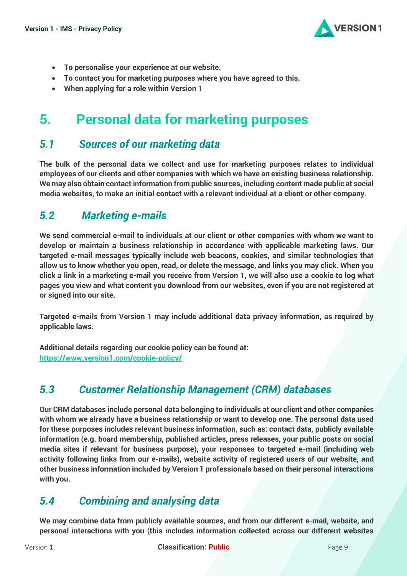

- **To personalise your experience at our website.**
- **To contact you for marketing purposes where you have agreed to this.**
- **When applying for a role within Version 1**

## <span id="page-9-0"></span>**5. Personal data for marketing purposes**

#### <span id="page-9-1"></span>*5.1 Sources of our marketing data*

**The bulk of the personal data we collect and use for marketing purposes relates to individual employees of our clients and other companies with which we have an existing business relationship. We may also obtain contact information from public sources, including content made public at social media websites, to make an initial contact with a relevant individual at a client or other company.**

#### <span id="page-9-2"></span>*5.2 Marketing e-mails*

**We send commercial e-mail to individuals at our client or other companies with whom we want to develop or maintain a business relationship in accordance with applicable marketing laws. Our targeted e-mail messages typically include web beacons, cookies, and similar technologies that allow us to know whether you open, read, or delete the message, and links you may click. When you click a link in a marketing e-mail you receive from Version 1, we will also use a cookie to log what pages you view and what content you download from our websites, even if you are not registered at or signed into our site.**

**Targeted e-mails from Version 1 may include additional data privacy information, as required by applicable laws.**

**Additional details regarding our cookie policy can be found at: <https://www.version1.com/cookie-policy/>**

## <span id="page-9-3"></span>*5.3 Customer Relationship Management (CRM) databases*

**Our CRM databases include personal data belonging to individuals at our client and other companies with whom we already have a business relationship or want to develop one. The personal data used for these purposes includes relevant business information, such as: contact data, publicly available information (e.g. board membership, published articles, press releases, your public posts on social media sites if relevant for business purpose), your responses to targeted e-mail (including web activity following links from our e-mails), website activity of registered users of our website, and other business information included by Version 1 professionals based on their personal interactions with you.** 

## <span id="page-9-4"></span>*5.4 Combining and analysing data*

**We may combine data from publicly available sources, and from our different e-mail, website, and personal interactions with you (this includes information collected across our different websites**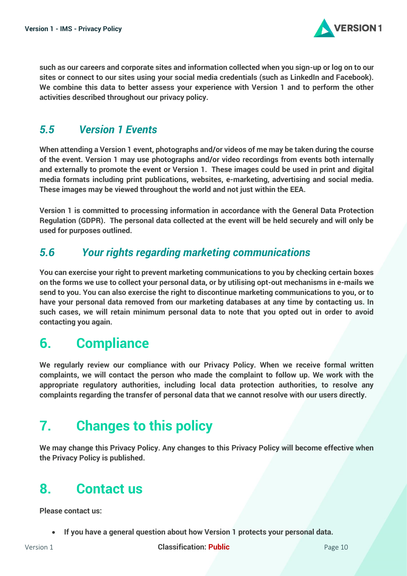

**such as our careers and corporate sites and information collected when you sign-up or log on to our sites or connect to our sites using your social media credentials (such as LinkedIn and Facebook). We combine this data to better assess your experience with Version 1 and to perform the other activities described throughout our privacy policy.**

## *5.5 Version 1 Events*

**When attending a Version 1 event, photographs and/or videos of me may be taken during the course of the event. Version 1 may use photographs and/or video recordings from events both internally and externally to promote the event or Version 1. These images could be used in print and digital media formats including print publications, websites, e-marketing, advertising and social media. These images may be viewed throughout the world and not just within the EEA.** 

**Version 1 is committed to processing information in accordance with the General Data Protection Regulation (GDPR). The personal data collected at the event will be held securely and will only be used for purposes outlined.**

## <span id="page-10-0"></span>*5.6 Your rights regarding marketing communications*

**You can exercise your right to prevent marketing communications to you by checking certain boxes on the forms we use to collect your personal data, or by utilising opt-out mechanisms in e-mails we send to you. You can also exercise the right to discontinue marketing communications to you, or to have your personal data removed from our marketing databases at any time by contacting us. In such cases, we will retain minimum personal data to note that you opted out in order to avoid contacting you again.** 

# <span id="page-10-1"></span>**6. Compliance**

**We regularly review our compliance with our Privacy Policy. When we receive formal written complaints, we will contact the person who made the complaint to follow up. We work with the appropriate regulatory authorities, including local data protection authorities, to resolve any complaints regarding the transfer of personal data that we cannot resolve with our users directly.** 

# <span id="page-10-2"></span>**7. Changes to this policy**

**We may change this Privacy Policy. Any changes to this Privacy Policy will become effective when the Privacy Policy is published.**

# <span id="page-10-3"></span>**8. Contact us**

**Please contact us:**

• **If you have a general question about how Version 1 protects your personal data.**

Version 1 **Classification: Public Public** Page 10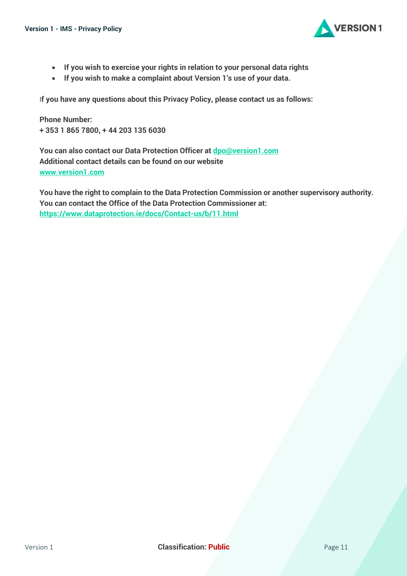

- **If you wish to exercise your rights in relation to your personal data rights**
- **If you wish to make a complaint about Version 1's use of your data.**

I**f you have any questions about this Privacy Policy, please contact us as follows:**

**Phone Number: + 353 1 865 7800, + 44 203 135 6030**

**You can also contact our Data Protection Officer at [dpo@version1.com](mailto:dpo@version1.com) Additional contact details can be found on our website [www.version1.com](http://www.version1.com/)**

**You have the right to complain to the Data Protection Commission or another supervisory authority. You can contact the Office of the Data Protection Commissioner at: <https://www.dataprotection.ie/docs/Contact-us/b/11.html>**